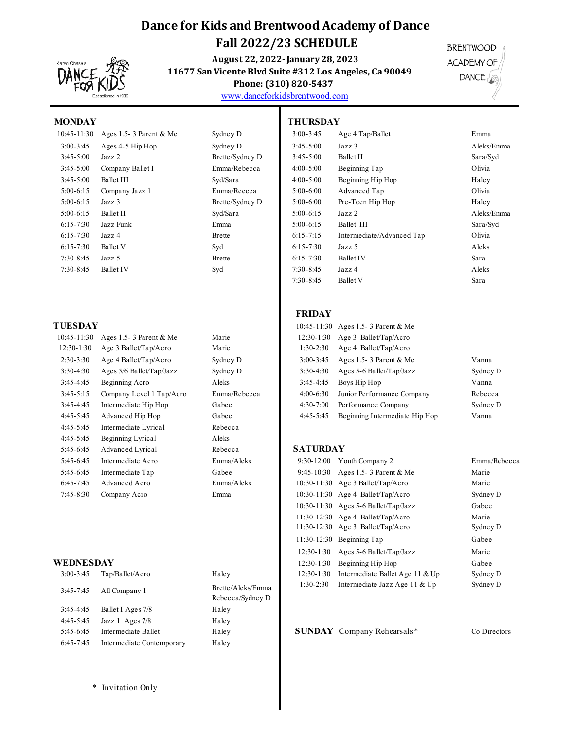# Dance for Kids and Brentwood Academy of Dance

 **Fall 2022/23 SCHEDULE August 22, 2022- January 28, 2023**

11677 San Vicente Blvd Suite #312 Los Angeles, Ca 90049

Phone: (310) 820-5437

**BRENTWOOD ACADEMY OF** DANCE

www.danceforkidsbrentwood.com

#### **MONDAY THURSDAY**

| $10:45 - 11:30$ | Ages 1.5-3 Parent & $\Lambda$ |
|-----------------|-------------------------------|
| $3:00 - 3:45$   | Ages 4-5 Hip Hop              |
| $3:45-5:00$     | $Jazz$ $2$                    |
| $3:45-5:00$     | Company Ballet I              |
| $3:45-5:00$     | <b>Ballet III</b>             |
| $5:00-6:15$     | Company Jazz 1                |
| $5:00-6:15$     | $Jazz$ 3                      |
| $5:00-6:15$     | Ballet II                     |
| $6:15-7:30$     | Jazz Funk                     |
| $6:15 - 7:30$   | $J$ azz $4$                   |
| $6:15 - 7:30$   | <b>Ballet V</b>               |
| $7:30 - 8:45$   | Jazz 5                        |
| $7:30 - 8:45$   | Ballet IV                     |

| 10:45-11:30   | Ages 1.5-3 Parent $&$ Me | Marie        | $12:30-1:30$    | Age 3 Ballet/Tap/Acro             |
|---------------|--------------------------|--------------|-----------------|-----------------------------------|
| $12:30-1:30$  | Age 3 Ballet/Tap/Acro    | Marie        | $1:30-2:30$     | Age 4 Ballet/Tap/Acro             |
| $2:30-3:30$   | Age 4 Ballet/Tap/Acro    | Sydney D     | $3:00 - 3:45$   | Ages 1.5-3 Parent & M             |
| $3:30-4:30$   | Ages 5/6 Ballet/Tap/Jazz | Sydney D     | $3:30-4:30$     | Ages 5-6 Ballet/Tap/Jaz           |
| $3:45-4:45$   | Beginning Acro           | Aleks        | $3:45 - 4:45$   | Boys Hip Hop                      |
| $3:45-5:15$   | Company Level 1 Tap/Acro | Emma/Rebecca | $4:00-6:30$     | Junior Performance Co             |
| $3:45-4:45$   | Intermediate Hip Hop     | Gabee        | $4:30 - 7:00$   | Performance Company               |
| $4:45-5:45$   | Advanced Hip Hop         | Gabee        | $4:45-5:45$     | Beginning Intermediate            |
| $4:45-5:45$   | Intermediate Lyrical     | Rebecca      |                 |                                   |
| $4:45-5:45$   | Beginning Lyrical        | Aleks        |                 |                                   |
| $5:45-6:45$   | Advanced Lyrical         | Rebecca      | <b>SATURDAY</b> |                                   |
| $5:45-6:45$   | Intermediate Acro        | Emma/Aleks   | $9:30 - 12:00$  | Youth Company 2                   |
| $5:45-6:45$   | Intermediate Tap         | Gabee        | $9:45-10:30$    | Ages 1.5-3 Parent & M             |
| $6:45-7:45$   | Advanced Acro            | Emma/Aleks   |                 | 10:30-11:30 Age 3 Ballet/Tap/Acro |
| $7:45 - 8:30$ | Company Acro             | Emma         |                 | 10:30-11:30 Age 4 Ballet/Tap/Acro |

#### WEDNESDAY

| $3:00 - 3:45$ | Tap/Ballet/Acro           | Haley                                 |
|---------------|---------------------------|---------------------------------------|
| $3:45 - 7:45$ | All Company 1             | Brette/Aleks/Emma<br>Rebecca/Sydney D |
| $3:45-4:45$   | Ballet I Ages 7/8         | Haley                                 |
| $4:45-5:45$   | Jazz 1 Ages $7/8$         | Haley                                 |
| $5:45-6:45$   | Intermediate Ballet       | Haley                                 |
| $6:45-7:45$   | Intermediate Contemporary | Haley                                 |

# Emma/Rebecca 4: Emma/Reecca 5: Brette/Sydney D 5:

# 10:45 Age 4 Tap/Ballet Emma Sydney D 3:00-3:45 Age 4 Tap/Ballet

| 3:00-3:45     | Ages 4-5 Hip Hop | Sydney D        | $3:45-5:00$   | Jazz 3                    | Aleks/Emma |
|---------------|------------------|-----------------|---------------|---------------------------|------------|
| $3:45 - 5:00$ | Jazz 2           | Brette/Sydney D | $3:45-5:00$   | Ballet II                 | Sara/Syd   |
| $3:45 - 5:00$ | Company Ballet I | Emma/Rebecca    | $4:00-5:00$   | Beginning Tap             | Olivia     |
| $3:45 - 5:00$ | Ballet III       | Syd/Sara        | $4:00-5:00$   | Beginning Hip Hop         | Haley      |
| $5:00-6:15$   | Company Jazz 1   | Emma/Reecca     | $5:00-6:00$   | Advanced Tap              | Olivia     |
| $5:00-6:15$   | Jazz 3           | Brette/Sydney D | $5:00-6:00$   | Pre-Teen Hip Hop          | Haley      |
| $5:00-6:15$   | Ballet II        | Syd/Sara        | $5:00-6:15$   | Jazz 2                    | Aleks/Emma |
| $6:15 - 7:30$ | Jazz Funk        | Emma            | $5:00-6:15$   | Ballet III                | Sara/Syd   |
| $6:15 - 7:30$ | Jazz 4           | Brette          | $6:15 - 7:15$ | Intermediate/Advanced Tap | Olivia     |
| $6:15 - 7:30$ | Ballet V         | Svd             | $6:15 - 7:30$ | Jazz 5                    | Aleks      |
| 7:30-8:45     | Jazz 5           | <b>Brette</b>   | $6:15 - 7:30$ | Ballet IV                 | Sara       |
| 7:30-8:45     | Ballet IV        | Svd             | $7:30 - 8:45$ | Jazz 4                    | Aleks      |
|               |                  |                 | $7:30-8:45$   | Ballet V                  | Sara       |

#### **FRIDAY**

| TUESDAY         |                          |              |               | 10:45-11:30 Ages 1.5-3 Parent & Me |          |
|-----------------|--------------------------|--------------|---------------|------------------------------------|----------|
| $10:45 - 11:30$ | Ages 1.5-3 Parent $&$ Me | Marie        | $12:30-1:30$  | Age 3 Ballet/Tap/Acro              |          |
| $12:30-1:30$    | Age 3 Ballet/Tap/Acro    | Marie        | $1:30-2:30$   | Age 4 Ballet/Tap/Acro              |          |
| $2:30-3:30$     | Age 4 Ballet/Tap/Acro    | Sydney D     | $3:00 - 3:45$ | Ages 1.5-3 Parent $&$ Me           | Vanna    |
| $3:30-4:30$     | Ages 5/6 Ballet/Tap/Jazz | Sydney D     | $3:30-4:30$   | Ages 5-6 Ballet/Tap/Jazz           | Sydney D |
| $3:45-4:45$     | Beginning Acro           | Aleks        | $3:45-4:45$   | Boys Hip Hop                       | Vanna    |
| $3:45 - 5:15$   | Company Level 1 Tap/Acro | Emma/Rebecca | $4:00-6:30$   | Junior Performance Company         | Rebecca  |
| $3:45-4:45$     | Intermediate Hip Hop     | Gabee        | $4:30 - 7:00$ | Performance Company                | Sydney D |
| $4:45-5:45$     | Advanced Hip Hop         | Gabee        | $4:45-5:45$   | Beginning Intermediate Hip Hop     | Vanna    |

#### Rebecca **SATURDAY**

| Intermediate Acro                  | Emma/Aleks        | $9:30 - 12:00$ |                                 | Emma/Rebecca                                                                                                                                                                                                                                                                                                                     |
|------------------------------------|-------------------|----------------|---------------------------------|----------------------------------------------------------------------------------------------------------------------------------------------------------------------------------------------------------------------------------------------------------------------------------------------------------------------------------|
| Intermediate Tap                   | Gabee             |                |                                 | Marie                                                                                                                                                                                                                                                                                                                            |
| Advanced Acro                      | Emma/Aleks        |                |                                 | Marie                                                                                                                                                                                                                                                                                                                            |
| Company Acro                       | Emma              |                |                                 | Sydney D                                                                                                                                                                                                                                                                                                                         |
|                                    |                   |                |                                 | Gabee                                                                                                                                                                                                                                                                                                                            |
|                                    |                   |                |                                 | Marie                                                                                                                                                                                                                                                                                                                            |
|                                    |                   |                |                                 | Sydney D                                                                                                                                                                                                                                                                                                                         |
|                                    |                   |                |                                 | Gabee                                                                                                                                                                                                                                                                                                                            |
|                                    |                   |                |                                 | Marie                                                                                                                                                                                                                                                                                                                            |
|                                    |                   | $12:30-1:30$   | Beginning Hip Hop               | Gabee                                                                                                                                                                                                                                                                                                                            |
| Tap/Ballet/Acro                    | Haley             | $12:30-1:30$   | Intermediate Ballet Age 11 & Up | Sydney D                                                                                                                                                                                                                                                                                                                         |
| $\Lambda$ 11 $C$ $\Omega$ $\Omega$ | Brette/Aleks/Emma | $1:30-2:30$    | Intermediate Jazz Age 11 & Up   | Sydney D                                                                                                                                                                                                                                                                                                                         |
|                                    | <b>EDNESDAY</b>   |                |                                 | Youth Company 2<br>9:45-10:30 Ages 1.5-3 Parent & Me<br>$10:30-11:30$ Age 3 Ballet/Tap/Acro<br>$10:30-11:30$ Age 4 Ballet/Tap/Acro<br>$10:30-11:30$ Ages 5-6 Ballet/Tap/Jazz<br>$11:30-12:30$ Age 4 Ballet/Tap/Acro<br>11:30-12:30 Age 3 Ballet/Tap/Acro<br>$11:30-12:30$ Beginning Tap<br>$12:30-1:30$ Ages 5-6 Ballet/Tap/Jazz |

**SUNDAY** Company Rehearsals\* Co Directors

\* Invitation Only